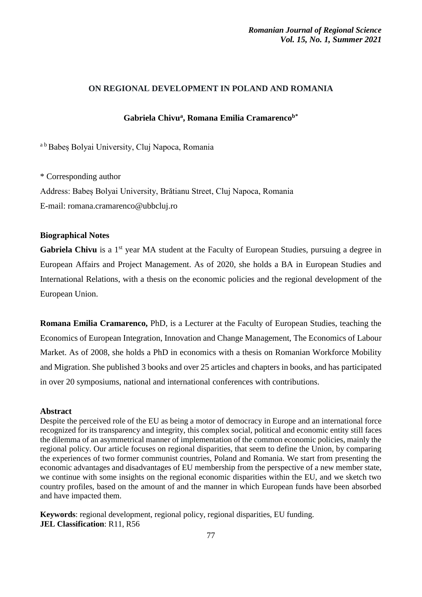# **ON REGIONAL DEVELOPMENT IN POLAND AND ROMANIA**

# **Gabriela Chivu<sup>a</sup> , Romana Emilia Cramarencob\***

a <sup>b</sup> Babeș Bolyai University, Cluj Napoca, Romania

\* Corresponding author Address: Babeș Bolyai University, Brătianu Street, Cluj Napoca, Romania E-mail: romana.cramarenco@ubbcluj.ro

### **Biographical Notes**

Gabriela Chivu is a 1<sup>st</sup> year MA student at the Faculty of European Studies, pursuing a degree in European Affairs and Project Management. As of 2020, she holds a BA in European Studies and International Relations, with a thesis on the economic policies and the regional development of the European Union.

**Romana Emilia Cramarenco,** PhD, is a Lecturer at the Faculty of European Studies, teaching the Economics of European Integration, Innovation and Change Management, The Economics of Labour Market. As of 2008, she holds a PhD in economics with a thesis on Romanian Workforce Mobility and Migration. She published 3 books and over 25 articles and chapters in books, and has participated in over 20 symposiums, national and international conferences with contributions.

### **Abstract**

Despite the perceived role of the EU as being a motor of democracy in Europe and an international force recognized for its transparency and integrity, this complex social, political and economic entity still faces the dilemma of an asymmetrical manner of implementation of the common economic policies, mainly the regional policy. Our article focuses on regional disparities, that seem to define the Union, by comparing the experiences of two former communist countries, Poland and Romania. We start from presenting the economic advantages and disadvantages of EU membership from the perspective of a new member state, we continue with some insights on the regional economic disparities within the EU, and we sketch two country profiles, based on the amount of and the manner in which European funds have been absorbed and have impacted them.

**Keywords**: regional development, regional policy, regional disparities, EU funding. **JEL Classification**: R11, R56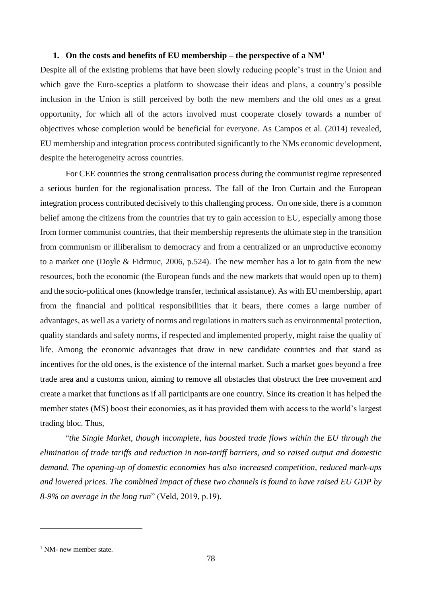### **1. On the costs and benefits of EU membership – the perspective of a NM<sup>1</sup>**

Despite all of the existing problems that have been slowly reducing people's trust in the Union and which gave the Euro-sceptics a platform to showcase their ideas and plans, a country's possible inclusion in the Union is still perceived by both the new members and the old ones as a great opportunity, for which all of the actors involved must cooperate closely towards a number of objectives whose completion would be beneficial for everyone. As Campos et al. (2014) revealed, EU membership and integration process contributed significantly to the NMs economic development, despite the heterogeneity across countries.

For CEE countries the strong centralisation process during the communist regime represented a serious burden for the regionalisation process. The fall of the Iron Curtain and the European integration process contributed decisively to this challenging process. On one side, there is a common belief among the citizens from the countries that try to gain accession to EU, especially among those from former communist countries, that their membership represents the ultimate step in the transition from communism or illiberalism to democracy and from a centralized or an unproductive economy to a market one (Doyle & Fidrmuc, 2006, p.524). The new member has a lot to gain from the new resources, both the economic (the European funds and the new markets that would open up to them) and the socio-political ones (knowledge transfer, technical assistance). As with EU membership, apart from the financial and political responsibilities that it bears, there comes a large number of advantages, as well as a variety of norms and regulations in matters such as environmental protection, quality standards and safety norms, if respected and implemented properly, might raise the quality of life. Among the economic advantages that draw in new candidate countries and that stand as incentives for the old ones, is the existence of the internal market. Such a market goes beyond a free trade area and a customs union, aiming to remove all obstacles that obstruct the free movement and create a market that functions as if all participants are one country. Since its creation it has helped the member states (MS) boost their economies, as it has provided them with access to the world's largest trading bloc. Thus,

"*the Single Market, though incomplete, has boosted trade flows within the EU through the elimination of trade tariffs and reduction in non-tariff barriers, and so raised output and domestic demand. The opening-up of domestic economies has also increased competition, reduced mark-ups and lowered prices. The combined impact of these two channels is found to have raised EU GDP by 8-9% on average in the long run*" (Veld, 2019, p.19).

<u>.</u>

 $<sup>1</sup>$  NM- new member state.</sup>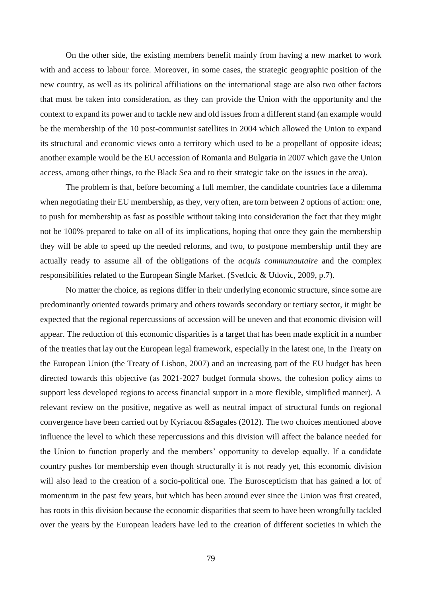On the other side, the existing members benefit mainly from having a new market to work with and access to labour force. Moreover, in some cases, the strategic geographic position of the new country, as well as its political affiliations on the international stage are also two other factors that must be taken into consideration, as they can provide the Union with the opportunity and the context to expand its power and to tackle new and old issues from a different stand (an example would be the membership of the 10 post-communist satellites in 2004 which allowed the Union to expand its structural and economic views onto a territory which used to be a propellant of opposite ideas; another example would be the EU accession of Romania and Bulgaria in 2007 which gave the Union access, among other things, to the Black Sea and to their strategic take on the issues in the area).

The problem is that, before becoming a full member, the candidate countries face a dilemma when negotiating their EU membership, as they, very often, are torn between 2 options of action: one, to push for membership as fast as possible without taking into consideration the fact that they might not be 100% prepared to take on all of its implications, hoping that once they gain the membership they will be able to speed up the needed reforms, and two, to postpone membership until they are actually ready to assume all of the obligations of the *acquis communautaire* and the complex responsibilities related to the European Single Market. (Svetlcic & Udovic, 2009, p.7).

No matter the choice, as regions differ in their underlying economic structure, since some are predominantly oriented towards primary and others towards secondary or tertiary sector, it might be expected that the regional repercussions of accession will be uneven and that economic division will appear. The reduction of this economic disparities is a target that has been made explicit in a number of the treaties that lay out the European legal framework, especially in the latest one, in the Treaty on the European Union (the Treaty of Lisbon, 2007) and an increasing part of the EU budget has been directed towards this objective (as 2021-2027 budget formula shows, the cohesion policy aims to support less developed regions to access financial support in a more flexible, simplified manner). A relevant review on the positive, negative as well as neutral impact of structural funds on regional convergence have been carried out by Kyriacou &Sagales (2012). The two choices mentioned above influence the level to which these repercussions and this division will affect the balance needed for the Union to function properly and the members' opportunity to develop equally. If a candidate country pushes for membership even though structurally it is not ready yet, this economic division will also lead to the creation of a socio-political one. The Euroscepticism that has gained a lot of momentum in the past few years, but which has been around ever since the Union was first created, has roots in this division because the economic disparities that seem to have been wrongfully tackled over the years by the European leaders have led to the creation of different societies in which the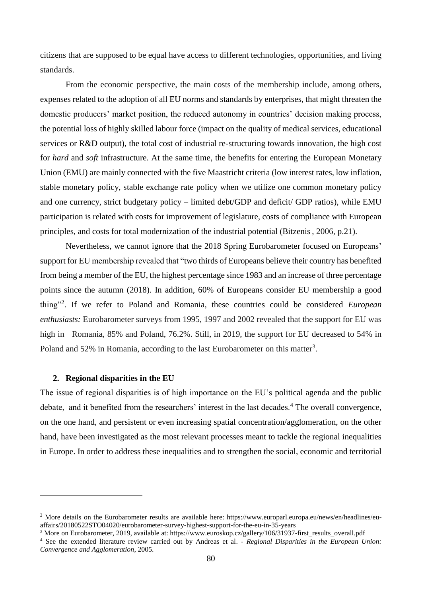citizens that are supposed to be equal have access to different technologies, opportunities, and living standards.

From the economic perspective, the main costs of the membership include, among others, expenses related to the adoption of all EU norms and standards by enterprises, that might threaten the domestic producers' market position, the reduced autonomy in countries' decision making process, the potential loss of highly skilled labour force (impact on the quality of medical services, educational services or R&D output), the total cost of industrial re-structuring towards innovation, the high cost for *hard* and *soft* infrastructure. At the same time, the benefits for entering the European Monetary Union (EMU) are mainly connected with the five Maastricht criteria (low interest rates, low inflation, stable monetary policy, stable exchange rate policy when we utilize one common monetary policy and one currency, strict budgetary policy – limited debt/GDP and deficit/ GDP ratios), while EMU participation is related with costs for improvement of legislature, costs of compliance with European principles, and costs for total modernization of the industrial potential (Bitzenis, 2006, p.21).

Nevertheless, we cannot ignore that the 2018 Spring Eurobarometer focused on Europeans' support for EU membership revealed that "two thirds of Europeans believe their country has benefited from being a member of the EU, the highest percentage since 1983 and an increase of three percentage points since the autumn (2018). In addition, 60% of Europeans consider EU membership a good thing"<sup>2</sup> . If we refer to Poland and Romania, these countries could be considered *European enthusiasts:* Eurobarometer surveys from 1995, 1997 and 2002 revealed that the support for EU was high in Romania, 85% and Poland, 76.2%. Still, in 2019, the support for EU decreased to 54% in Poland and 52% in Romania, according to the last Eurobarometer on this matter<sup>3</sup>.

#### **2. Regional disparities in the EU**

<u>.</u>

The issue of regional disparities is of high importance on the EU's political agenda and the public debate, and it benefited from the researchers' interest in the last decades.<sup>4</sup> The overall convergence, on the one hand, and persistent or even increasing spatial concentration/agglomeration, on the other hand, have been investigated as the most relevant processes meant to tackle the regional inequalities in Europe. In order to address these inequalities and to strengthen the social, economic and territorial

<sup>2</sup> More details on the Eurobarometer results are available here: https://www.europarl.europa.eu/news/en/headlines/euaffairs/20180522STO04020/eurobarometer-survey-highest-support-for-the-eu-in-35-years

<sup>3</sup> More on Eurobarometer, 2019, available at: https://www.euroskop.cz/gallery/106/31937-first\_results\_overall.pdf

<sup>4</sup> See the extended literature review carried out by Andreas et al. *- Regional Disparities in the European Union: Convergence and Agglomeration*, 2005.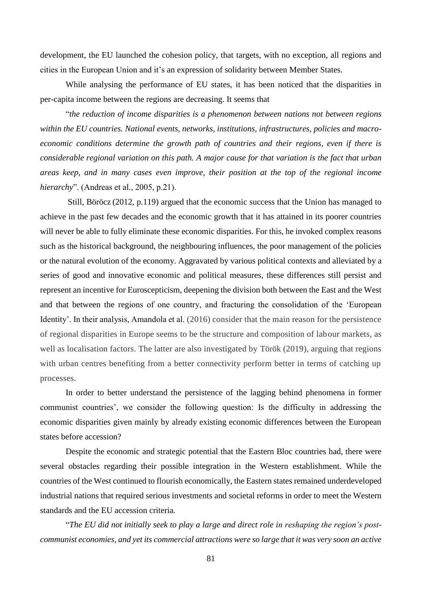development, the EU launched the cohesion policy, that targets, with no exception, all regions and cities in the European Union and it's an expression of solidarity between Member States.

While analysing the performance of EU states, it has been noticed that the disparities in per-capita income between the regions are decreasing. It seems that

"*the reduction of income disparities is a phenomenon between nations not between regions within the EU countries. National events, networks, institutions, infrastructures, policies and macroeconomic conditions determine the growth path of countries and their regions, even if there is considerable regional variation on this path. A major cause for that variation is the fact that urban areas keep, and in many cases even improve, their position at the top of the regional income hierarchy*". (Andreas et al., 2005, p.21).

Still, Böröcz (2012, p.119) argued that the economic success that the Union has managed to achieve in the past few decades and the economic growth that it has attained in its poorer countries will never be able to fully eliminate these economic disparities. For this, he invoked complex reasons such as the historical background, the neighbouring influences, the poor management of the policies or the natural evolution of the economy. Aggravated by various political contexts and alleviated by a series of good and innovative economic and political measures, these differences still persist and represent an incentive for Euroscepticism, deepening the division both between the East and the West and that between the regions of one country, and fracturing the consolidation of the 'European Identity'. In their analysis, Amandola et al. (2016) consider that the main reason for the persistence of regional disparities in Europe seems to be the structure and composition of labour markets, as well as localisation factors. The latter are also investigated by Török (2019), arguing that regions with urban centres benefiting from a better connectivity perform better in terms of catching up processes.

In order to better understand the persistence of the lagging behind phenomena in former communist countries', we consider the following question: Is the difficulty in addressing the economic disparities given mainly by already existing economic differences between the European states before accession?

Despite the economic and strategic potential that the Eastern Bloc countries had, there were several obstacles regarding their possible integration in the Western establishment. While the countries of the West continued to flourish economically, the Eastern states remained underdeveloped industrial nations that required serious investments and societal reforms in order to meet the Western standards and the EU accession criteria.

"*The EU did not initially seek to play a large and direct role in reshaping the region's postcommunist economies, and yet its commercial attractions were so large that it was very soon an active*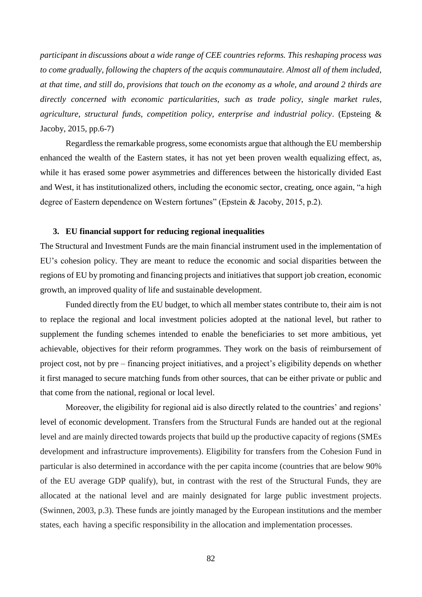*participant in discussions about a wide range of CEE countries reforms. This reshaping process was to come gradually, following the chapters of the acquis communautaire. Almost all of them included, at that time, and still do, provisions that touch on the economy as a whole, and around 2 thirds are directly concerned with economic particularities, such as trade policy, single market rules, agriculture, structural funds, competition policy, enterprise and industrial policy*. (Epsteing & Jacoby, 2015, pp.6-7)

Regardless the remarkable progress, some economists argue that although the EU membership enhanced the wealth of the Eastern states, it has not yet been proven wealth equalizing effect, as, while it has erased some power asymmetries and differences between the historically divided East and West, it has institutionalized others, including the economic sector, creating, once again, "a high degree of Eastern dependence on Western fortunes" (Epstein & Jacoby, 2015, p.2).

# **3. EU financial support for reducing regional inequalities**

The Structural and Investment Funds are the main financial instrument used in the implementation of EU's cohesion policy. They are meant to reduce the economic and social disparities between the regions of EU by promoting and financing projects and initiatives that support job creation, economic growth, an improved quality of life and sustainable development.

Funded directly from the EU budget, to which all member states contribute to, their aim is not to replace the regional and local investment policies adopted at the national level, but rather to supplement the funding schemes intended to enable the beneficiaries to set more ambitious, yet achievable, objectives for their reform programmes. They work on the basis of reimbursement of project cost, not by pre – financing project initiatives, and a project's eligibility depends on whether it first managed to secure matching funds from other sources, that can be either private or public and that come from the national, regional or local level.

Moreover, the eligibility for regional aid is also directly related to the countries' and regions' level of economic development. Transfers from the Structural Funds are handed out at the regional level and are mainly directed towards projects that build up the productive capacity of regions (SMEs development and infrastructure improvements). Eligibility for transfers from the Cohesion Fund in particular is also determined in accordance with the per capita income (countries that are below 90% of the EU average GDP qualify), but, in contrast with the rest of the Structural Funds, they are allocated at the national level and are mainly designated for large public investment projects. (Swinnen, 2003, p.3). These funds are jointly managed by the European institutions and the member states, each having a specific responsibility in the allocation and implementation processes.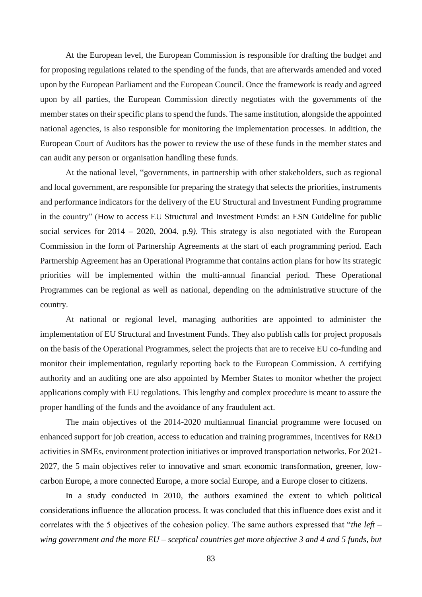At the European level, the European Commission is responsible for drafting the budget and for proposing regulations related to the spending of the funds, that are afterwards amended and voted upon by the European Parliament and the European Council. Once the framework is ready and agreed upon by all parties, the European Commission directly negotiates with the governments of the member states on their specific plans to spend the funds. The same institution, alongside the appointed national agencies, is also responsible for monitoring the implementation processes. In addition, the European Court of Auditors has the power to review the use of these funds in the member states and can audit any person or organisation handling these funds.

At the national level, "governments, in partnership with other stakeholders, such as regional and local government, are responsible for preparing the strategy that selects the priorities, instruments and performance indicators for the delivery of the EU Structural and Investment Funding programme in the country" (How to access EU Structural and Investment Funds: an ESN Guideline for public social services for 2014 – 2020, 2004. p.9*)*. This strategy is also negotiated with the European Commission in the form of Partnership Agreements at the start of each programming period. Each Partnership Agreement has an Operational Programme that contains action plans for how its strategic priorities will be implemented within the multi-annual financial period. These Operational Programmes can be regional as well as national, depending on the administrative structure of the country.

At national or regional level, managing authorities are appointed to administer the implementation of EU Structural and Investment Funds. They also publish calls for project proposals on the basis of the Operational Programmes, select the projects that are to receive EU co-funding and monitor their implementation, regularly reporting back to the European Commission. A certifying authority and an auditing one are also appointed by Member States to monitor whether the project applications comply with EU regulations. This lengthy and complex procedure is meant to assure the proper handling of the funds and the avoidance of any fraudulent act.

The main objectives of the 2014-2020 multiannual financial programme were focused on enhanced support for job creation, access to education and training programmes, incentives for R&D activities in SMEs, environment protection initiatives or improved transportation networks. For 2021- 2027, the 5 main objectives refer to innovative and smart economic transformation, greener, lowcarbon Europe, a more connected Europe, a more social Europe, and a Europe closer to citizens.

In a study conducted in 2010, the authors examined the extent to which political considerations influence the allocation process. It was concluded that this influence does exist and it correlates with the 5 objectives of the cohesion policy. The same authors expressed that "*the left – wing government and the more EU – sceptical countries get more objective 3 and 4 and 5 funds, but*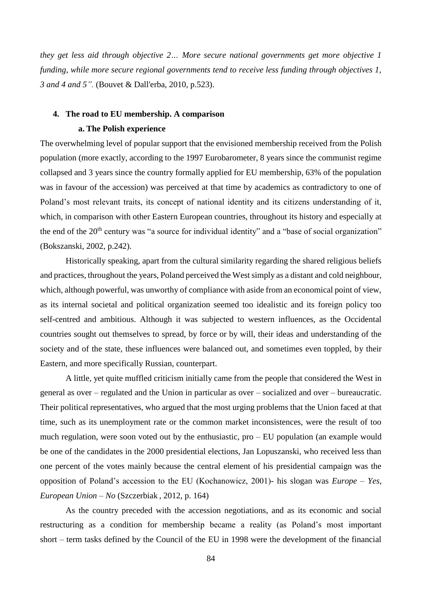*they get less aid through objective 2… More secure national governments get more objective 1 funding, while more secure regional governments tend to receive less funding through objectives 1, 3 and 4 and 5".* (Bouvet & Dall'erba, 2010, p.523).

# **4. The road to EU membership. A comparison a. The Polish experience**

The overwhelming level of popular support that the envisioned membership received from the Polish population (more exactly, according to the 1997 Eurobarometer, 8 years since the communist regime collapsed and 3 years since the country formally applied for EU membership, 63% of the population was in favour of the accession) was perceived at that time by academics as contradictory to one of Poland's most relevant traits, its concept of national identity and its citizens understanding of it, which, in comparison with other Eastern European countries, throughout its history and especially at the end of the 20<sup>th</sup> century was "a source for individual identity" and a "base of social organization" (Bokszanski, 2002, p.242).

Historically speaking, apart from the cultural similarity regarding the shared religious beliefs and practices, throughout the years, Poland perceived the West simply as a distant and cold neighbour, which, although powerful, was unworthy of compliance with aside from an economical point of view, as its internal societal and political organization seemed too idealistic and its foreign policy too self-centred and ambitious. Although it was subjected to western influences, as the Occidental countries sought out themselves to spread, by force or by will, their ideas and understanding of the society and of the state, these influences were balanced out, and sometimes even toppled, by their Eastern, and more specifically Russian, counterpart.

A little, yet quite muffled criticism initially came from the people that considered the West in general as over – regulated and the Union in particular as over – socialized and over – bureaucratic. Their political representatives, who argued that the most urging problems that the Union faced at that time, such as its unemployment rate or the common market inconsistences, were the result of too much regulation, were soon voted out by the enthusiastic, pro – EU population (an example would be one of the candidates in the 2000 presidential elections, Jan Lopuszanski, who received less than one percent of the votes mainly because the central element of his presidential campaign was the opposition of Poland's accession to the EU (Kochanowicz, 2001)- his slogan was *Europe – Yes, European Union – No* (Szczerbiak , 2012, p. 164)

As the country preceded with the accession negotiations, and as its economic and social restructuring as a condition for membership became a reality (as Poland's most important short – term tasks defined by the Council of the EU in 1998 were the development of the financial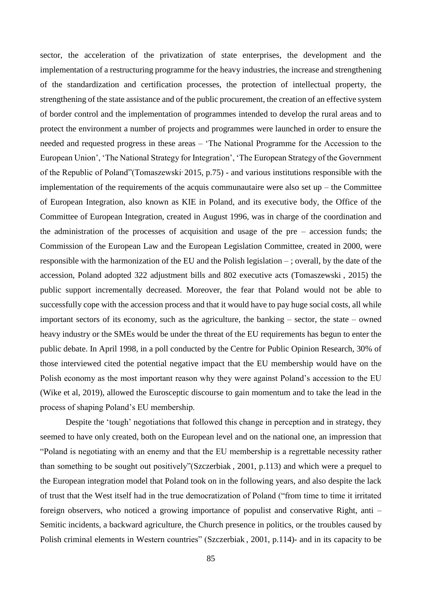sector, the acceleration of the privatization of state enterprises, the development and the implementation of a restructuring programme for the heavy industries, the increase and strengthening of the standardization and certification processes, the protection of intellectual property, the strengthening of the state assistance and of the public procurement, the creation of an effective system of border control and the implementation of programmes intended to develop the rural areas and to protect the environment a number of projects and programmes were launched in order to ensure the needed and requested progress in these areas – 'The National Programme for the Accession to the European Union', 'The National Strategy for Integration', 'The European Strategy of the Government of the Republic of Poland"(Tomaszewski, 2015, p.75) - and various institutions responsible with the implementation of the requirements of the acquis communautaire were also set  $up$  – the Committee of European Integration, also known as KIE in Poland, and its executive body, the Office of the Committee of European Integration, created in August 1996, was in charge of the coordination and the administration of the processes of acquisition and usage of the pre – accession funds; the Commission of the European Law and the European Legislation Committee, created in 2000, were responsible with the harmonization of the EU and the Polish legislation – ; overall, by the date of the accession, Poland adopted 322 adjustment bills and 802 executive acts (Tomaszewski , 2015) the public support incrementally decreased. Moreover, the fear that Poland would not be able to successfully cope with the accession process and that it would have to pay huge social costs, all while important sectors of its economy, such as the agriculture, the banking – sector, the state – owned heavy industry or the SMEs would be under the threat of the EU requirements has begun to enter the public debate. In April 1998, in a poll conducted by the Centre for Public Opinion Research, 30% of those interviewed cited the potential negative impact that the EU membership would have on the Polish economy as the most important reason why they were against Poland's accession to the EU (Wike et al, 2019), allowed the Eurosceptic discourse to gain momentum and to take the lead in the process of shaping Poland's EU membership.

Despite the 'tough' negotiations that followed this change in perception and in strategy, they seemed to have only created, both on the European level and on the national one, an impression that "Poland is negotiating with an enemy and that the EU membership is a regrettable necessity rather than something to be sought out positively"(Szczerbiak , 2001, p.113) and which were a prequel to the European integration model that Poland took on in the following years, and also despite the lack of trust that the West itself had in the true democratization of Poland ("from time to time it irritated foreign observers, who noticed a growing importance of populist and conservative Right, anti – Semitic incidents, a backward agriculture, the Church presence in politics, or the troubles caused by Polish criminal elements in Western countries" (Szczerbiak , 2001, p.114)- and in its capacity to be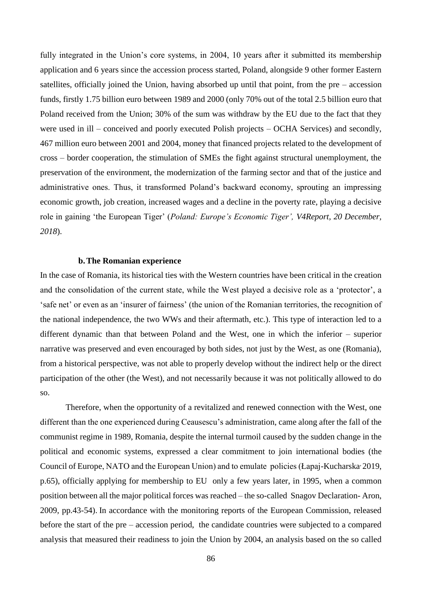fully integrated in the Union's core systems, in 2004, 10 years after it submitted its membership application and 6 years since the accession process started, Poland, alongside 9 other former Eastern satellites, officially joined the Union, having absorbed up until that point, from the pre – accession funds, firstly 1.75 billion euro between 1989 and 2000 (only 70% out of the total 2.5 billion euro that Poland received from the Union; 30% of the sum was withdraw by the EU due to the fact that they were used in ill – conceived and poorly executed Polish projects – OCHA Services) and secondly, 467 million euro between 2001 and 2004, money that financed projects related to the development of cross – border cooperation, the stimulation of SMEs the fight against structural unemployment, the preservation of the environment, the modernization of the farming sector and that of the justice and administrative ones. Thus, it transformed Poland's backward economy, sprouting an impressing economic growth, job creation, increased wages and a decline in the poverty rate, playing a decisive role in gaining 'the European Tiger' (*Poland: Europe's Economic Tiger', V4Report, 20 December, 2018*).

#### **b.The Romanian experience**

In the case of Romania, its historical ties with the Western countries have been critical in the creation and the consolidation of the current state, while the West played a decisive role as a 'protector', a 'safe net' or even as an 'insurer of fairness' (the union of the Romanian territories, the recognition of the national independence, the two WWs and their aftermath, etc.). This type of interaction led to a different dynamic than that between Poland and the West, one in which the inferior – superior narrative was preserved and even encouraged by both sides, not just by the West, as one (Romania), from a historical perspective, was not able to properly develop without the indirect help or the direct participation of the other (the West), and not necessarily because it was not politically allowed to do so.

Therefore, when the opportunity of a revitalized and renewed connection with the West, one different than the one experienced during Ceausescu's administration, came along after the fall of the communist regime in 1989, Romania, despite the internal turmoil caused by the sudden change in the political and economic systems, expressed a clear commitment to join international bodies (the Council of Europe, NATO and the European Union) and to emulate policies (Łapaj-Kucharska<sup>,</sup> 2019, p.65), officially applying for membership to EU only a few years later, in 1995, when a common position between all the major political forces was reached – the so-called Snagov Declaration- Aron, 2009, pp.43-54). In accordance with the monitoring reports of the European Commission, released before the start of the pre – accession period, the candidate countries were subjected to a compared analysis that measured their readiness to join the Union by 2004, an analysis based on the so called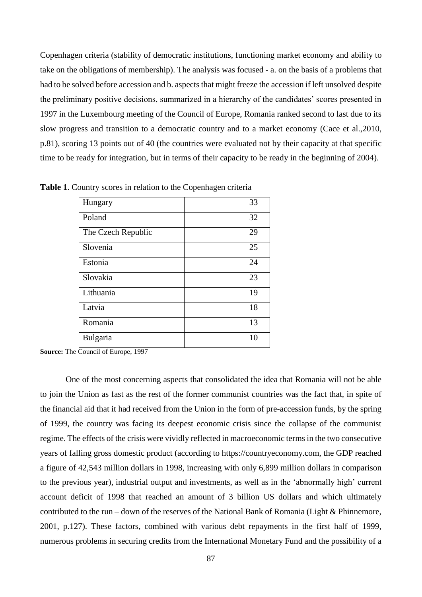Copenhagen criteria (stability of democratic institutions, functioning market economy and ability to take on the obligations of membership). The analysis was focused - a. on the basis of a problems that had to be solved before accession and b. aspects that might freeze the accession if left unsolved despite the preliminary positive decisions, summarized in a hierarchy of the candidates' scores presented in 1997 in the Luxembourg meeting of the Council of Europe, Romania ranked second to last due to its slow progress and transition to a democratic country and to a market economy (Cace et al.,2010, p.81), scoring 13 points out of 40 (the countries were evaluated not by their capacity at that specific time to be ready for integration, but in terms of their capacity to be ready in the beginning of 2004).

| Hungary            | 33 |
|--------------------|----|
| Poland             | 32 |
| The Czech Republic | 29 |
| Slovenia           | 25 |
| Estonia            | 24 |
| Slovakia           | 23 |
| Lithuania          | 19 |
| Latvia             | 18 |
| Romania            | 13 |
| Bulgaria           | 10 |

**Table 1**. Country scores in relation to the Copenhagen criteria

**Source:** The Council of Europe, 1997

One of the most concerning aspects that consolidated the idea that Romania will not be able to join the Union as fast as the rest of the former communist countries was the fact that, in spite of the financial aid that it had received from the Union in the form of pre-accession funds, by the spring of 1999, the country was facing its deepest economic crisis since the collapse of the communist regime. The effects of the crisis were vividly reflected in macroeconomic terms in the two consecutive years of falling gross domestic product (according to https://countryeconomy.com, the GDP reached a figure of 42,543 million dollars in 1998, increasing with only 6,899 million dollars in comparison to the previous year), industrial output and investments, as well as in the 'abnormally high' current account deficit of 1998 that reached an amount of 3 billion US dollars and which ultimately contributed to the run – down of the reserves of the National Bank of Romania (Light & Phinnemore, 2001, p.127). These factors, combined with various debt repayments in the first half of 1999, numerous problems in securing credits from the International Monetary Fund and the possibility of a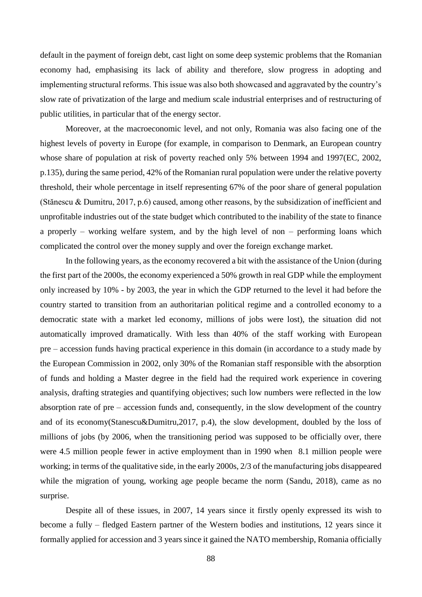default in the payment of foreign debt, cast light on some deep systemic problems that the Romanian economy had, emphasising its lack of ability and therefore, slow progress in adopting and implementing structural reforms. This issue was also both showcased and aggravated by the country's slow rate of privatization of the large and medium scale industrial enterprises and of restructuring of public utilities, in particular that of the energy sector.

Moreover, at the macroeconomic level, and not only, Romania was also facing one of the highest levels of poverty in Europe (for example, in comparison to Denmark, an European country whose share of population at risk of poverty reached only 5% between 1994 and 1997(EC, 2002, p.135), during the same period, 42% of the Romanian rural population were under the relative poverty threshold, their whole percentage in itself representing 67% of the poor share of general population (Stănescu & Dumitru, 2017, p.6) caused, among other reasons, by the subsidization of inefficient and unprofitable industries out of the state budget which contributed to the inability of the state to finance a properly – working welfare system, and by the high level of non – performing loans which complicated the control over the money supply and over the foreign exchange market.

In the following years, as the economy recovered a bit with the assistance of the Union (during the first part of the 2000s, the economy experienced a 50% growth in real GDP while the employment only increased by 10% - by 2003, the year in which the GDP returned to the level it had before the country started to transition from an authoritarian political regime and a controlled economy to a democratic state with a market led economy, millions of jobs were lost), the situation did not automatically improved dramatically. With less than 40% of the staff working with European pre – accession funds having practical experience in this domain (in accordance to a study made by the European Commission in 2002, only 30% of the Romanian staff responsible with the absorption of funds and holding a Master degree in the field had the required work experience in covering analysis, drafting strategies and quantifying objectives; such low numbers were reflected in the low absorption rate of pre – accession funds and, consequently, in the slow development of the country and of its economy(Stanescu&Dumitru,2017, p.4), the slow development, doubled by the loss of millions of jobs (by 2006, when the transitioning period was supposed to be officially over, there were 4.5 million people fewer in active employment than in 1990 when 8.1 million people were working; in terms of the qualitative side, in the early 2000s, 2/3 of the manufacturing jobs disappeared while the migration of young, working age people became the norm (Sandu, 2018), came as no surprise.

Despite all of these issues, in 2007, 14 years since it firstly openly expressed its wish to become a fully – fledged Eastern partner of the Western bodies and institutions, 12 years since it formally applied for accession and 3 years since it gained the NATO membership, Romania officially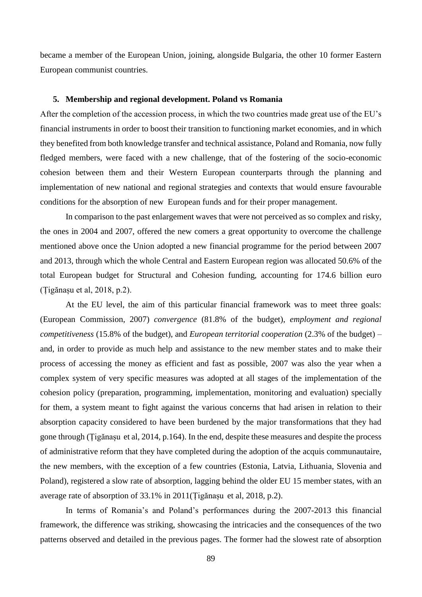became a member of the European Union, joining, alongside Bulgaria, the other 10 former Eastern European communist countries.

#### **5. Membership and regional development. Poland vs Romania**

After the completion of the accession process, in which the two countries made great use of the EU's financial instruments in order to boost their transition to functioning market economies, and in which they benefited from both knowledge transfer and technical assistance, Poland and Romania, now fully fledged members, were faced with a new challenge, that of the fostering of the socio-economic cohesion between them and their Western European counterparts through the planning and implementation of new national and regional strategies and contexts that would ensure favourable conditions for the absorption of new European funds and for their proper management.

In comparison to the past enlargement waves that were not perceived as so complex and risky, the ones in 2004 and 2007, offered the new comers a great opportunity to overcome the challenge mentioned above once the Union adopted a new financial programme for the period between 2007 and 2013, through which the whole Central and Eastern European region was allocated 50.6% of the total European budget for Structural and Cohesion funding, accounting for 174.6 billion euro (Țigănașu et al, 2018, p.2).

At the EU level, the aim of this particular financial framework was to meet three goals: (European Commission, 2007) *convergence* (81.8% of the budget), *employment and regional competitiveness* (15.8% of the budget), and *European territorial cooperation* (2.3% of the budget) – and, in order to provide as much help and assistance to the new member states and to make their process of accessing the money as efficient and fast as possible, 2007 was also the year when a complex system of very specific measures was adopted at all stages of the implementation of the cohesion policy (preparation, programming, implementation, monitoring and evaluation) specially for them, a system meant to fight against the various concerns that had arisen in relation to their absorption capacity considered to have been burdened by the major transformations that they had gone through (Țigănașu et al, 2014, p.164). In the end, despite these measures and despite the process of administrative reform that they have completed during the adoption of the acquis communautaire, the new members, with the exception of a few countries (Estonia, Latvia, Lithuania, Slovenia and Poland), registered a slow rate of absorption, lagging behind the older EU 15 member states, with an average rate of absorption of 33.1% in 2011(Țigănașu et al, 2018, p.2).

In terms of Romania's and Poland's performances during the 2007-2013 this financial framework, the difference was striking, showcasing the intricacies and the consequences of the two patterns observed and detailed in the previous pages. The former had the slowest rate of absorption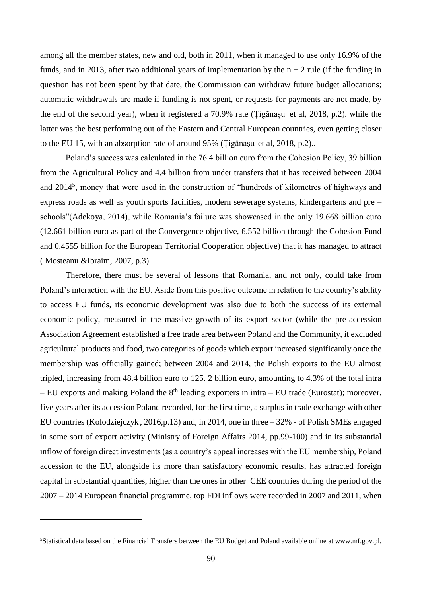among all the member states, new and old, both in 2011, when it managed to use only 16.9% of the funds, and in 2013, after two additional years of implementation by the  $n + 2$  rule (if the funding in question has not been spent by that date, the Commission can withdraw future budget allocations; automatic withdrawals are made if funding is not spent, or requests for payments are not made, by the end of the second year), when it registered a 70.9% rate (Țigănașu et al, 2018, p.2). while the latter was the best performing out of the Eastern and Central European countries, even getting closer to the EU 15, with an absorption rate of around 95% (Țigănașu et al, 2018, p.2)..

Poland's success was calculated in the 76.4 billion euro from the Cohesion Policy, 39 billion from the Agricultural Policy and 4.4 billion from under transfers that it has received between 2004 and 2014<sup>5</sup>, money that were used in the construction of "hundreds of kilometres of highways and express roads as well as youth sports facilities, modern sewerage systems, kindergartens and pre – schools"(Adekoya, 2014), while Romania's failure was showcased in the only 19.668 billion euro (12.661 billion euro as part of the Convergence objective, 6.552 billion through the Cohesion Fund and 0.4555 billion for the European Territorial Cooperation objective) that it has managed to attract ( Mosteanu &Ibraim, 2007, p.3).

Therefore, there must be several of lessons that Romania, and not only, could take from Poland's interaction with the EU. Aside from this positive outcome in relation to the country's ability to access EU funds, its economic development was also due to both the success of its external economic policy, measured in the massive growth of its export sector (while the pre-accession Association Agreement established a free trade area between Poland and the Community, it excluded agricultural products and food, two categories of goods which export increased significantly once the membership was officially gained; between 2004 and 2014, the Polish exports to the EU almost tripled, increasing from 48.4 billion euro to 125. 2 billion euro, amounting to 4.3% of the total intra – EU exports and making Poland the  $8<sup>th</sup>$  leading exporters in intra – EU trade (Eurostat); moreover, five years after its accession Poland recorded, for the first time, a surplus in trade exchange with other EU countries (Kolodziejczyk , 2016,p.13) and, in 2014, one in three – 32% - of Polish SMEs engaged in some sort of export activity (Ministry of Foreign Affairs 2014, pp.99-100) and in its substantial inflow of foreign direct investments (as a country's appeal increases with the EU membership, Poland accession to the EU, alongside its more than satisfactory economic results, has attracted foreign capital in substantial quantities, higher than the ones in other CEE countries during the period of the 2007 – 2014 European financial programme, top FDI inflows were recorded in 2007 and 2011, when

<u>.</u>

<sup>5</sup>Statistical data based on the Financial Transfers between the EU Budget and Poland available online at www.mf.gov.pl.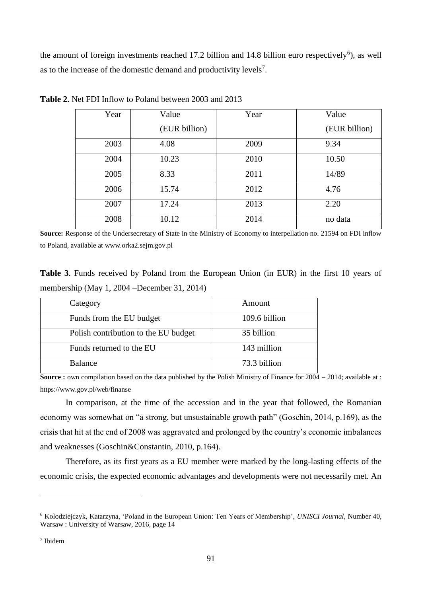the amount of foreign investments reached 17.2 billion and 14.8 billion euro respectively<sup>6</sup>), as well as to the increase of the domestic demand and productivity levels<sup>7</sup>.

| Year | Value         | Year | Value         |
|------|---------------|------|---------------|
|      | (EUR billion) |      | (EUR billion) |
| 2003 | 4.08          | 2009 | 9.34          |
| 2004 | 10.23         | 2010 | 10.50         |
| 2005 | 8.33          | 2011 | 14/89         |
| 2006 | 15.74         | 2012 | 4.76          |
| 2007 | 17.24         | 2013 | 2.20          |
| 2008 | 10.12         | 2014 | no data       |

**Table 2.** Net FDI Inflow to Poland between 2003 and 2013

**Source:** Response of the Undersecretary of State in the Ministry of Economy to interpellation no. 21594 on FDI inflow to Poland, available at www.orka2.sejm.gov.pl

**Table 3**. Funds received by Poland from the European Union (in EUR) in the first 10 years of membership (May 1, 2004 –December 31, 2014)

| Category                             | Amount        |
|--------------------------------------|---------------|
| Funds from the EU budget             | 109.6 billion |
| Polish contribution to the EU budget | 35 billion    |
| Funds returned to the EU             | 143 million   |
| <b>Balance</b>                       | 73.3 billion  |

**Source :** own compilation based on the data published by the Polish Ministry of Finance for 2004 – 2014; available at : <https://www.gov.pl/web/finanse>

In comparison, at the time of the accession and in the year that followed, the Romanian economy was somewhat on "a strong, but unsustainable growth path" (Goschin, 2014, p.169), as the crisis that hit at the end of 2008 was aggravated and prolonged by the country's economic imbalances and weaknesses (Goschin&Constantin, 2010, p.164).

Therefore, as its first years as a EU member were marked by the long-lasting effects of the economic crisis, the expected economic advantages and developments were not necessarily met. An

1

<sup>6</sup> Kolodziejczyk, Katarzyna, 'Poland in the European Union: Ten Years of Membership', *UNISCI Journal,* Number 40, Warsaw : University of Warsaw, 2016, page 14

<sup>7</sup> Ibidem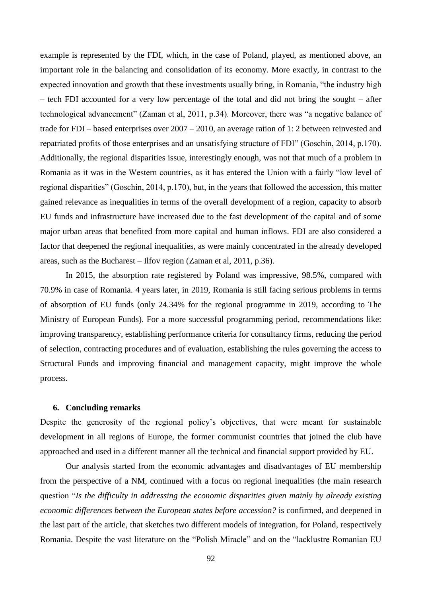example is represented by the FDI, which, in the case of Poland, played, as mentioned above, an important role in the balancing and consolidation of its economy. More exactly, in contrast to the expected innovation and growth that these investments usually bring, in Romania, "the industry high – tech FDI accounted for a very low percentage of the total and did not bring the sought – after technological advancement" (Zaman et al, 2011, p.34). Moreover, there was "a negative balance of trade for FDI – based enterprises over 2007 – 2010, an average ration of 1: 2 between reinvested and repatriated profits of those enterprises and an unsatisfying structure of FDI" (Goschin, 2014, p.170). Additionally, the regional disparities issue, interestingly enough, was not that much of a problem in Romania as it was in the Western countries, as it has entered the Union with a fairly "low level of regional disparities" (Goschin, 2014, p.170), but, in the years that followed the accession, this matter gained relevance as inequalities in terms of the overall development of a region, capacity to absorb EU funds and infrastructure have increased due to the fast development of the capital and of some major urban areas that benefited from more capital and human inflows. FDI are also considered a factor that deepened the regional inequalities, as were mainly concentrated in the already developed areas, such as the Bucharest – Ilfov region (Zaman et al, 2011, p.36).

In 2015, the absorption rate registered by Poland was impressive, 98.5%, compared with 70.9% in case of Romania. 4 years later, in 2019, Romania is still facing serious problems in terms of absorption of EU funds (only 24.34% for the regional programme in 2019, according to The Ministry of European Funds). For a more successful programming period, recommendations like: improving transparency, establishing performance criteria for consultancy firms, reducing the period of selection, contracting procedures and of evaluation, establishing the rules governing the access to Structural Funds and improving financial and management capacity, might improve the whole process.

### **6. Concluding remarks**

Despite the generosity of the regional policy's objectives, that were meant for sustainable development in all regions of Europe, the former communist countries that joined the club have approached and used in a different manner all the technical and financial support provided by EU.

Our analysis started from the economic advantages and disadvantages of EU membership from the perspective of a NM, continued with a focus on regional inequalities (the main research question "*Is the difficulty in addressing the economic disparities given mainly by already existing economic differences between the European states before accession?* is confirmed, and deepened in the last part of the article, that sketches two different models of integration, for Poland, respectively Romania. Despite the vast literature on the "Polish Miracle" and on the "lacklustre Romanian EU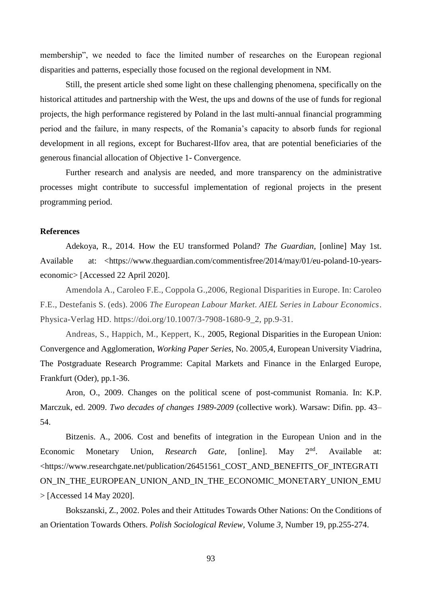membership", we needed to face the limited number of researches on the European regional disparities and patterns, especially those focused on the regional development in NM.

Still, the present article shed some light on these challenging phenomena, specifically on the historical attitudes and partnership with the West, the ups and downs of the use of funds for regional projects, the high performance registered by Poland in the last multi-annual financial programming period and the failure, in many respects, of the Romania's capacity to absorb funds for regional development in all regions, except for Bucharest-Ilfov area, that are potential beneficiaries of the generous financial allocation of Objective 1- Convergence.

Further research and analysis are needed, and more transparency on the administrative processes might contribute to successful implementation of regional projects in the present programming period.

# **References**

Adekoya, R., 2014. How the EU transformed Poland? *The Guardian,* [online] May 1st. Available at: [<https://www.theguardian.com/commentisfree/2014/may/01/eu-poland-10-years](https://www.theguardian.com/commentisfree/2014/may/01/eu-poland-10-years-economic)[economic>](https://www.theguardian.com/commentisfree/2014/may/01/eu-poland-10-years-economic) [Accessed 22 April 2020].

Amendola A., Caroleo F.E., Coppola G.,2006, Regional Disparities in Europe. In: Caroleo F.E., Destefanis S. (eds). 2006 *The European Labour Market. AIEL Series in Labour Economics*. Physica-Verlag HD. https://doi.org/10.1007/3-7908-1680-9\_2, pp.9-31.

Andreas, S., Happich, M., Keppert, K., 2005, Regional Disparities in the European Union: Convergence and Agglomeration, *Working Paper Series*, No. 2005,4, European University Viadrina, The Postgraduate Research Programme: Capital Markets and Finance in the Enlarged Europe, Frankfurt (Oder), pp.1-36.

Aron, O., 2009. Changes on the political scene of post-communist Romania. In: K.P. Marczuk, ed. 2009. *Two decades of changes 1989-2009* (collective work). Warsaw: Difin. pp. 43– 54.

Bitzenis. A., 2006. Cost and benefits of integration in the European Union and in the Economic Monetary Union, *Research Gate*, [online]. May 2<sup>nd</sup>. Available at: <https://www.researchgate.net/publication/26451561\_COST\_AND\_BENEFITS\_OF\_INTEGRATI ON\_IN\_THE\_EUROPEAN\_UNION\_AND\_IN\_THE\_ECONOMIC\_MONETARY\_UNION\_EMU > [Accessed 14 May 2020].

Bokszanski, Z., 2002. Poles and their Attitudes Towards Other Nations: On the Conditions of an Orientation Towards Others. *Polish Sociological Review,* Volume *3,* Number 19, pp.255-274.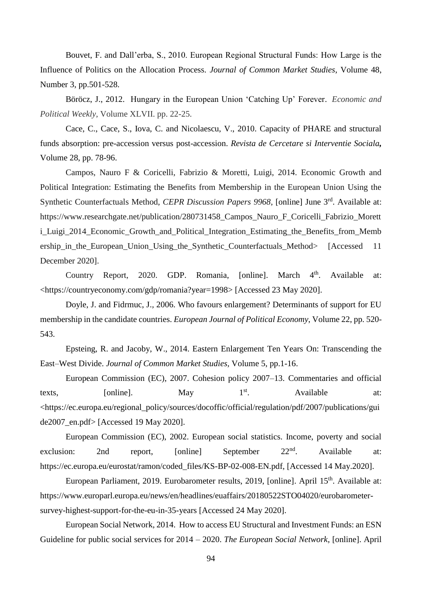Bouvet, F. and Dall'erba, S., 2010. European Regional Structural Funds: How Large is the Influence of Politics on the Allocation Process. *Journal of Common Market Studies*, Volume 48, Number 3, pp.501-528.

Böröcz, J., 2012. Hungary in the European Union 'Catching Up' Forever. *Economic and Political Weekly*, Volume XLVII. pp. 22-25.

Cace, C., Cace, S., Iova, C. and Nicolaescu, V., 2010. Capacity of PHARE and structural funds absorption: pre-accession versus post-accession. *[Revista de Cercetare si Interventie Sociala](https://search.proquest.com/pubidlinkhandler/sng/pubtitle/Revista+de+Cercetare+si+Interventie+Sociala/$N/2031098/PagePdf/1665131645/fulltextPDF/68D384B713924551PQ/1?accountid=8013),* Volume 28, pp. 78-96.

Campos, Nauro F & Coricelli, Fabrizio & Moretti, Luigi, 2014. Economic Growth and Political Integration: Estimating the Benefits from Membership in the European Union Using the Synthetic Counterfactuals Method, *CEPR Discussion Papers 9968*, [online] June 3<sup>rd</sup>. Available at: https://www.researchgate.net/publication/280731458\_Campos\_Nauro\_F\_Coricelli\_Fabrizio\_Morett i\_Luigi\_2014\_Economic\_Growth\_and\_Political\_Integration\_Estimating\_the\_Benefits\_from\_Memb ership\_in\_the\_European\_Union\_Using\_the\_Synthetic\_Counterfactuals\_Method> [Accessed 11 December 2020].

Country Report, 2020. GDP. Romania, [online]. March  $4<sup>th</sup>$ . Available at: <https://countryeconomy.com/gdp/romania?year=1998> [Accessed 23 May 2020].

Doyle, J. and Fidrmuc, J.*,* 2006. Who favours enlargement? Determinants of support for EU membership in the candidate countries. *European Journal of Political Economy*, Volume 22, pp. 520- 543.

Epsteing, R. and Jacoby, W., 2014. Eastern Enlargement Ten Years On: Transcending the East–West Divide. *Journal of Common Market Studies,* Volume 5, pp.1-16.

European Commission (EC), 2007. Cohesion policy 2007–13. Commentaries and official texts,  $[online]$ . May  $1^{st}$ . Available at: <https://ec.europa.eu/regional\_policy/sources/docoffic/official/regulation/pdf/2007/publications/gui de2007\_en.pdf> [Accessed 19 May 2020].

European Commission (EC), 2002. European social statistics. Income, poverty and social exclusion: 2nd report, [online] September 22<sup>nd</sup>. Available at: https://ec.europa.eu/eurostat/ramon/coded\_files/KS-BP-02-008-EN.pdf, [Accessed 14 May.2020].

European Parliament, 2019. Eurobarometer results, 2019, [online]. April 15<sup>th</sup>. Available at: https://www.europarl.europa.eu/news/en/headlines/euaffairs/20180522STO04020/eurobarometersurvey-highest-support-for-the-eu-in-35-years [Accessed 24 May 2020].

European Social Network, 2014. How to access EU Structural and Investment Funds: an ESN Guideline for public social services for 2014 – 2020. *The European Social Network*, [online]. April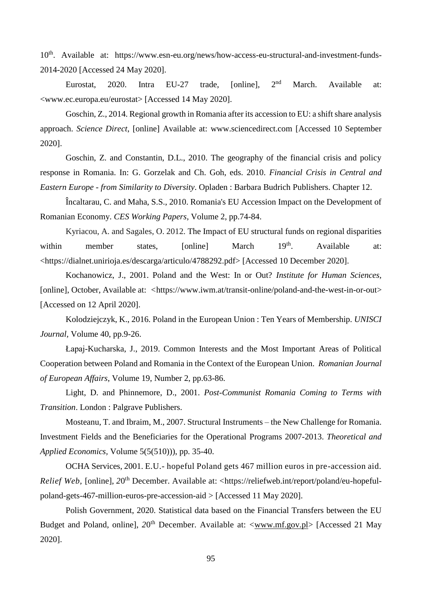10<sup>th</sup>. Available at: https://www.esn-eu.org/news/how-access-eu-structural-and-investment-funds-2014-2020 [Accessed 24 May 2020].

Eurostat, 2020. Intra EU-27 trade, [online], 2<sup>nd</sup> March. Available at: <www.ec.europa.eu/eurostat> [Accessed 14 May 2020].

Goschin, Z., 2014. Regional growth in Romania after its accession to EU: a shift share analysis approach. *Science Direct*, [online] Available at: www.sciencedirect.com [Accessed 10 September 2020].

Goschin, Z. and Constantin, D.L., 2010. The geography of the financial crisis and policy response in Romania. In: G. Gorzelak and Ch. Goh, eds. 2010. *Financial Crisis in Central and Eastern Europe - from Similarity to Diversity*. Opladen : Barbara Budrich Publishers. Chapter 12.

Încaltarau, C. and Maha, S.S., 2010. Romania's EU Accession Impact on the Development of Romanian Economy. *CES Working Papers*, Volume 2, pp.74-84.

Kyriacou, A. and Sagales, O. 2012. The Impact of EU structural funds on regional disparities within member states, [online] March 19<sup>th</sup>. Available at: <https://dialnet.unirioja.es/descarga/articulo/4788292.pdf> [Accessed 10 December 2020].

Kochanowicz, J., 2001. Poland and the West: In or Out? *Institute for Human Sciences,*  [online], October, Available at: *<*https://www.iwm.at/transit-online/poland-and-the-west-in-or-out> [Accessed on 12 April 2020].

Kolodziejczyk, K., 2016. Poland in the European Union : Ten Years of Membership. *UNISCI Journal,* Volume 40, pp.9-26.

Łapaj-Kucharska, J., 2019. Common Interests and the Most Important Areas of Political Cooperation between Poland and Romania in the Context of the European Union. *Romanian Journal of European Affairs*, Volume 19, Number 2, pp.63-86.

Light, D. and Phinnemore, D., 2001. *Post-Communist Romania Coming to Terms with Transition*. London : Palgrave Publishers.

Mosteanu, T. and Ibraim, M., 2007. Structural Instruments – the New Challenge for Romania. Investment Fields and the Beneficiaries for the Operational Programs 2007-2013. *[Theoretical and](https://ideas.repec.org/s/agr/journl.html)  [Applied Economics,](https://ideas.repec.org/s/agr/journl.html)* Volume 5(5(510))), pp. 35-40.

OCHA Services, 2001. E.U.- hopeful Poland gets 467 million euros in pre-accession aid. *Relief Web*, [online], 20<sup>th</sup> December. Available at: <https://reliefweb.int/report/poland/eu-hopefulpoland-gets-467-million-euros-pre-accession-aid > [Accessed 11 May 2020].

Polish Government, 2020. Statistical data based on the Financial Transfers between the EU Budget and Poland, online], 20<sup>th</sup> December. Available at: [<www.mf.gov.pl>](http://www.mf.gov.pl/) [Accessed 21 May 2020].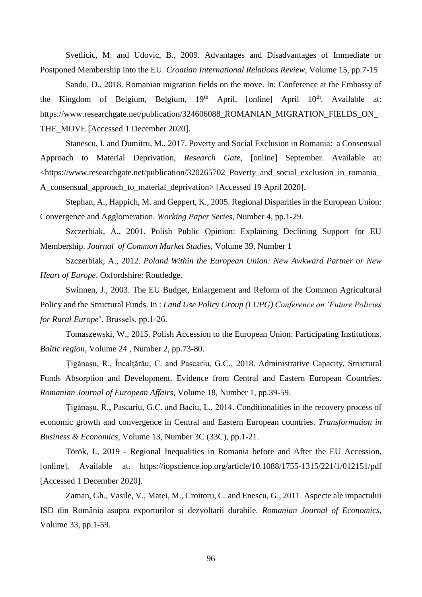Svetlicic, M. and Udovic, B., 2009. Advantages and Disadvantages of Immediate or Postponed Membership into the EU. *Croatian International Relations Review,* Volume 15, pp.7-15

Sandu, D., 2018. Romanian migration fields on the move. In: Conference at the Embassy of the Kingdom of Belgium, Belgium,  $19<sup>th</sup>$  April, [online] April  $10<sup>th</sup>$ . Available at: https://www.researchgate.net/publication/324606088\_ROMANIAN\_MIGRATION\_FIELDS\_ON\_ THE\_MOVE [Accessed 1 December 2020].

Stanescu, I. and Dumitru, M., 2017. Poverty and Social Exclusion in Romania: a Consensual Approach to Material Deprivation, *Research Gate*, [online] September. Available at: <https://www.researchgate.net/publication/320265702\_Poverty\_and\_social\_exclusion\_in\_romania\_ A\_consensual\_approach\_to\_material\_deprivation> [Accessed 19 April 2020].

Stephan, A., Happich, M. and Geppert, K., 2005. Regional Disparities in the European Union: Convergence and Agglomeration. *Working Paper Series*, Number 4, pp.1-29.

Szczerbiak, A., 2001. Polish Public Opinion: Explaining Declining Support for EU Membership. *Journal of Common Market Studies,* Volume 39, Number 1

Szczerbiak, A., 2012. *Poland Within the European Union: New Awkward Partner or New Heart of Europe*. Oxfordshire: Routledge.

Swinnen, J., 2003. The EU Budget, Enlargement and Reform of the Common Agricultural Policy and the Structural Funds. In : *Land Use Policy Group (LUPG) Conference on 'Future Policies for Rural Europe*', Brussels. pp.1-26.

Tomaszewski, W., 2015. Polish Accession to the European Union: Participating Institutions. *Baltic region*, Volume 24 , Number 2, pp.73-80.

Țigănașu, R., Încalțărău, C. and Pascariu, G.C., 2018. Administrative Capacity, Structural Funds Absorption and Development. Evidence from Central and Eastern European Countries. *Romanian Journal of European Affairs,* Volume 18, Number 1, pp.39-59.

Țigănașu, R., Pascariu, G.C. and Baciu, L., 2014. Conditionalities in the recovery process of economic growth and convergence in Central and Eastern European countries. *Transformation in Business & Economics*, Volume 13, Number 3C (33C), pp.1-21.

Török, I., 2019 - Regional Inequalities in Romania before and After the EU Accession, [online]. Available at: https://iopscience.iop.org/article/10.1088/1755-1315/221/1/012151/pdf [Accessed 1 December 2020].

Zaman, Gh., Vasile, V., Matei, M., Croitoru, C. and Enescu, G., 2011. Aspecte ale impactului ISD din România asupra exporturilor si dezvoltarii durabile. *Romanian Journal of Economics*, Volume 33, pp.1-59.